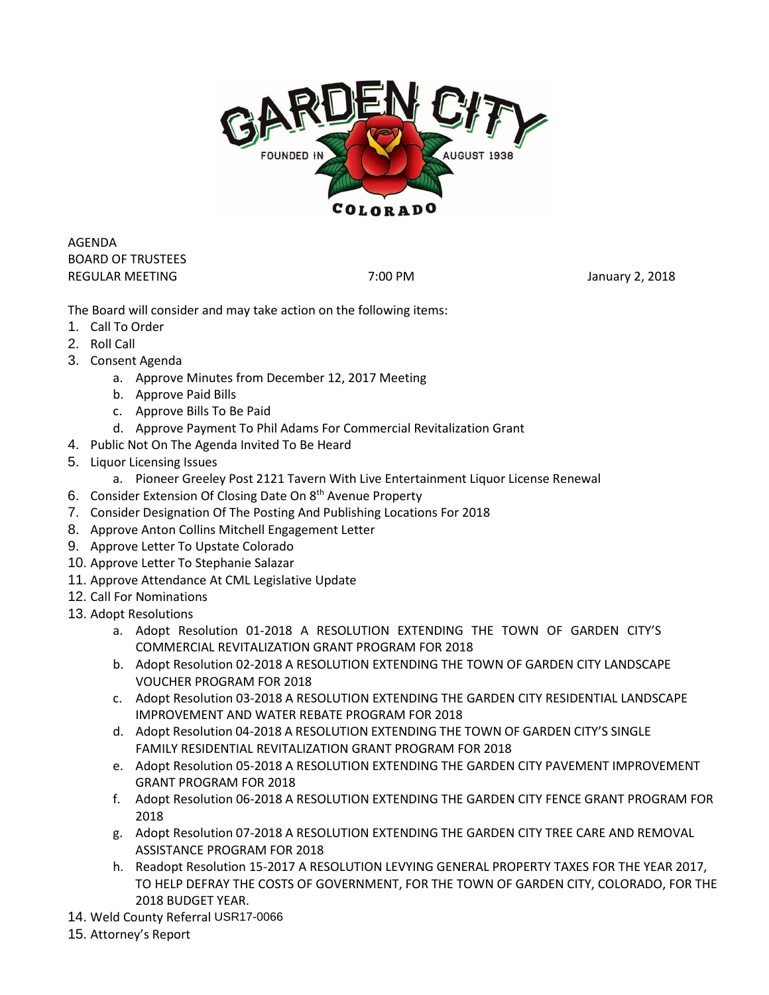

AGENDA BOARD OF TRUSTEES REGULAR MEETING **The CONSTRUCTER STATES ASSESSED** 7:00 PM **The CONSTRUCT 2018** January 2, 2018

The Board will consider and may take action on the following items:

- 1. Call To Order
- 2. Roll Call
- 3. Consent Agenda
	- a. Approve Minutes from December 12, 2017 Meeting
	- b. Approve Paid Bills
	- c. Approve Bills To Be Paid
	- d. Approve Payment To Phil Adams For Commercial Revitalization Grant
- 4. Public Not On The Agenda Invited To Be Heard
- 5. Liquor Licensing Issues
	- a. Pioneer Greeley Post 2121 Tavern With Live Entertainment Liquor License Renewal
- 6. Consider Extension Of Closing Date On 8<sup>th</sup> Avenue Property
- 7. Consider Designation Of The Posting And Publishing Locations For 2018
- 8. Approve Anton Collins Mitchell Engagement Letter
- 9. Approve Letter To Upstate Colorado
- 10. Approve Letter To Stephanie Salazar
- 11. Approve Attendance At CML Legislative Update
- 12. Call For Nominations
- 13. Adopt Resolutions
	- a. Adopt Resolution 01-2018 A RESOLUTION EXTENDING THE TOWN OF GARDEN CITY'S COMMERCIAL REVITALIZATION GRANT PROGRAM FOR 2018
	- b. Adopt Resolution 02-2018 A RESOLUTION EXTENDING THE TOWN OF GARDEN CITY LANDSCAPE VOUCHER PROGRAM FOR 2018
	- c. Adopt Resolution 03-2018 A RESOLUTION EXTENDING THE GARDEN CITY RESIDENTIAL LANDSCAPE IMPROVEMENT AND WATER REBATE PROGRAM FOR 2018
	- d. Adopt Resolution 04-2018 A RESOLUTION EXTENDING THE TOWN OF GARDEN CITY'S SINGLE FAMILY RESIDENTIAL REVITALIZATION GRANT PROGRAM FOR 2018
	- e. Adopt Resolution 05-2018 A RESOLUTION EXTENDING THE GARDEN CITY PAVEMENT IMPROVEMENT GRANT PROGRAM FOR 2018
	- f. Adopt Resolution 06-2018 A RESOLUTION EXTENDING THE GARDEN CITY FENCE GRANT PROGRAM FOR 2018
	- g. Adopt Resolution 07-2018 A RESOLUTION EXTENDING THE GARDEN CITY TREE CARE AND REMOVAL ASSISTANCE PROGRAM FOR 2018
	- h. Readopt Resolution 15-2017 A RESOLUTION LEVYING GENERAL PROPERTY TAXES FOR THE YEAR 2017, TO HELP DEFRAY THE COSTS OF GOVERNMENT, FOR THE TOWN OF GARDEN CITY, COLORADO, FOR THE 2018 BUDGET YEAR.
- 14. Weld County Referral USR17-0066
- 15. Attorney's Report